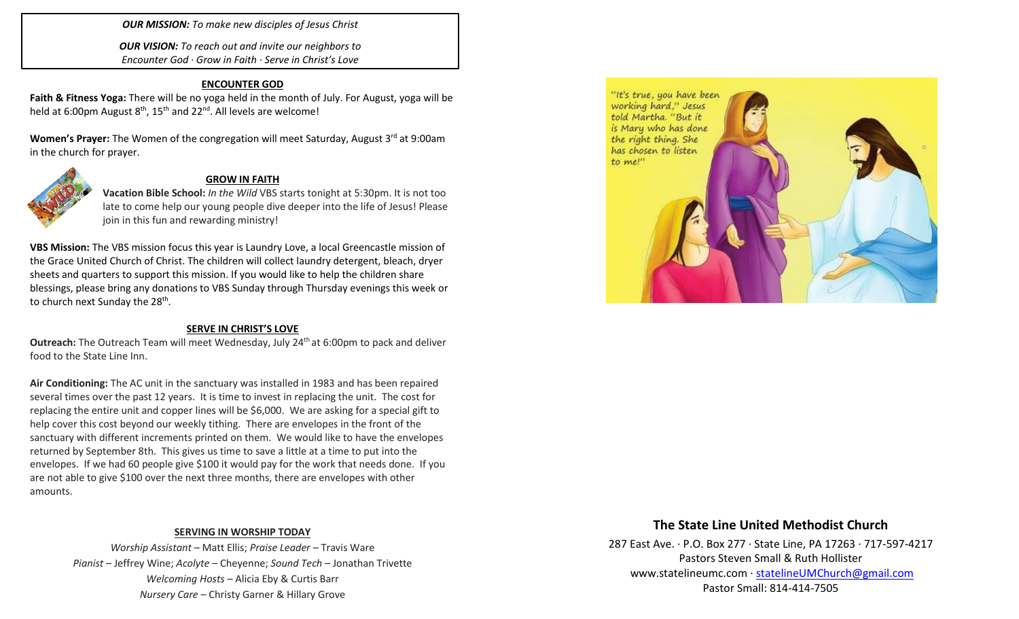*OUR MISSION: To make new disciples of Jesus Christ*

*OUR VISION: To reach out and invite our neighbors to Encounter God · Grow in Faith · Serve in Christ's Love*

### **ENCOUNTER GOD**

**Faith & Fitness Yoga:** There will be no yoga held in the month of July. For August, yoga will be held at 6:00pm August  $8<sup>th</sup>$ , 15<sup>th</sup> and 22<sup>nd</sup>. All levels are welcome!

**Women's Prayer:** The Women of the congregation will meet Saturday, August 3<sup>rd</sup> at 9:00am in the church for prayer.



#### **GROW IN FAITH**

**Vacation Bible School:** *In the Wild* VBS starts tonight at 5:30pm. It is not too late to come help our young people dive deeper into the life of Jesus! Please join in this fun and rewarding ministry!

**VBS Mission:** The VBS mission focus this year is Laundry Love, a local Greencastle mission of the Grace United Church of Christ. The children will collect laundry detergent, bleach, dryer sheets and quarters to support this mission. If you would like to help the children share blessings, please bring any donations to VBS Sunday through Thursday evenings this week or to church next Sunday the 28<sup>th</sup>.

#### **SERVE IN CHRIST'S LOVE**

**Outreach:** The Outreach Team will meet Wednesday, July 24<sup>th</sup> at 6:00pm to pack and deliver food to the State Line Inn.

**Air Conditioning:** The AC unit in the sanctuary was installed in 1983 and has been repaired several times over the past 12 years. It is time to invest in replacing the unit. The cost for replacing the entire unit and copper lines will be \$6,000. We are asking for a special gift to help cover this cost beyond our weekly tithing. There are envelopes in the front of the sanctuary with different increments printed on them. We would like to have the envelopes returned by September 8th. This gives us time to save a little at a time to put into the envelopes. If we had 60 people give \$100 it would pay for the work that needs done. If you are not able to give \$100 over the next three months, there are envelopes with other amounts.

## **SERVING IN WORSHIP TODAY**

*Worship Assistant* – Matt Ellis; *Praise Leader* – Travis Ware *Pianist* – Jeffrey Wine; *Acolyte* – Cheyenne; *Sound Tech* – Jonathan Trivette *Welcoming Hosts* – Alicia Eby & Curtis Barr *Nursery Care* – Christy Garner & Hillary Grove



## **The State Line United Methodist Church**

287 East Ave. · P.O. Box 277 · State Line, PA 17263 · 717-597-4217 Pastors Steven Small & Ruth Hollister [www.statelineumc.com](http://www.statelineumc.com/) · [statelineUMChurch@gmail.com](mailto:statelineUMChurch@gmail.com) Pastor Small: 814-414-7505